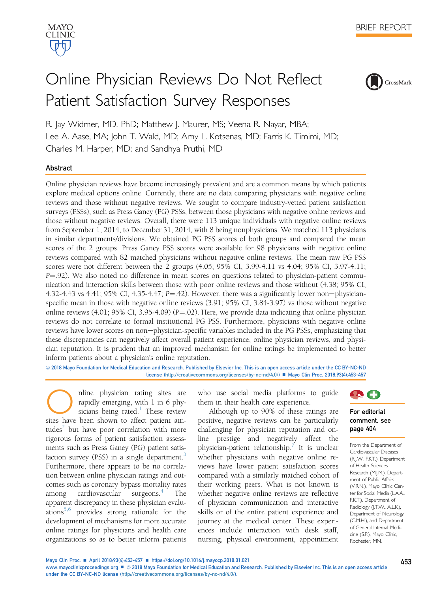

# Online Physician Reviews Do Not Reflect Patient Satisfaction Survey Responses



R. Jay Widmer, MD, PhD; Matthew J. Maurer, MS; Veena R. Nayar, MBA; Lee A. Aase, MA; John T. Wald, MD; Amy L. Kotsenas, MD; Farris K. Timimi, MD; Charles M. Harper, MD; and Sandhya Pruthi, MD

## Abstract

Online physician reviews have become increasingly prevalent and are a common means by which patients explore medical options online. Currently, there are no data comparing physicians with negative online reviews and those without negative reviews. We sought to compare industry-vetted patient satisfaction surveys (PSSs), such as Press Ganey (PG) PSSs, between those physicians with negative online reviews and those without negative reviews. Overall, there were 113 unique individuals with negative online reviews from September 1, 2014, to December 31, 2014, with 8 being nonphysicians. We matched 113 physicians in similar departments/divisions. We obtained PG PSS scores of both groups and compared the mean scores of the 2 groups. Press Ganey PSS scores were available for 98 physicians with negative online reviews compared with 82 matched physicians without negative online reviews. The mean raw PG PSS scores were not different between the 2 groups (4.05; 95% CI, 3.99-4.11 vs 4.04; 95% CI, 3.97-4.11;  $P = 0.92$ ). We also noted no difference in mean scores on questions related to physician-patient communication and interaction skills between those with poor online reviews and those without (4.38; 95% CI, 4.32-4.43 vs 4.41; 95% CI, 4.35-4.47;  $P = 42$ ). However, there was a significantly lower non-physicianspecific mean in those with negative online reviews (3.91; 95% CI, 3.84-3.97) vs those without negative online reviews (4.01; 95% CI, 3.95-4.09) ( $P = 02$ ). Here, we provide data indicating that online physician reviews do not correlate to formal institutional PG PSS. Furthermore, physicians with negative online reviews have lower scores on non-physician-specific variables included in the PG PSSs, emphasizing that these discrepancies can negatively affect overall patient experience, online physician reviews, and physician reputation. It is prudent that an improved mechanism for online ratings be implemented to better inform patients about a physician's online reputation.

ª 2018 Mayo Foundation for Medical Education and Research. Published by Elsevier Inc. This is an open access article under the CC BY-NC-ND license ([http://creativecommons.org/licenses/by-nc-nd/4.0/\)](http://creativecommons.org/licenses/by-nc-nd/4.0/) n Mayo Clin Proc. 2018;93(4):453-457

Online physician rating sites are rapidly emerging, with 1 in 6 physicians being rated.<sup>1</sup> These review sites have been shown to affect patient attirapidly emerging, with 1 in 6 physicians being rated. $<sup>1</sup>$  $<sup>1</sup>$  $<sup>1</sup>$  These review</sup> tudes $\frac{2}{3}$  but have poor correlation with more rigorous forms of patient satisfaction assessments such as Press Ganey (PG) patient satis-faction survey (PSS) in a single department.<sup>[3](#page-4-0)</sup> Furthermore, there appears to be no correlation between online physician ratings and outcomes such as coronary bypass mortality rates among cardiovascular surgeons. $\frac{4}{1}$  $\frac{4}{1}$  $\frac{4}{1}$  The apparent discrepancy in these physician evalu-ations<sup>[5,6](#page-4-0)</sup> provides strong rationale for the development of mechanisms for more accurate online ratings for physicians and health care organizations so as to better inform patients

who use social media platforms to guide them in their health care experience.

Although up to 90% of these ratings are positive, negative reviews can be particularly challenging for physician reputation and online prestige and negatively affect the physician-patient relationship[.7](#page-4-0) It is unclear whether physicians with negative online reviews have lower patient satisfaction scores compared with a similarly matched cohort of their working peers. What is not known is whether negative online reviews are reflective of physician communication and interactive skills or of the entire patient experience and journey at the medical center. These experiences include interaction with desk staff, nursing, physical environment, appointment



## For editorial comment, see page 404

From the Department of Cardiovascular Diseases (R.J.W., F.K.T.), Department of Health Sciences Research (M.J.M.), Department of Public Affairs (V.R.N.), Mayo Clinic Center for Social Media (LAA., F.K.T.), Department of Radiology (J.T.W., A.L.K.), Department of Neurology (C.M.H.), and Department of General Internal Medicine (S.P.), Mayo Clinic, Rochester, MN.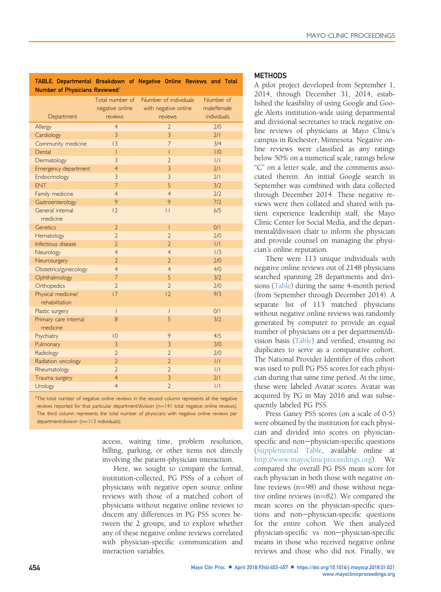<span id="page-1-0"></span>

| TABLE. Departmental Breakdown of Negative Online Reviews and Total |  |  |  |  |  |  |  |
|--------------------------------------------------------------------|--|--|--|--|--|--|--|
| Number of Physicians Reviewed <sup>®</sup>                         |  |  |  |  |  |  |  |

|                       | Total number of | Number of individuals    | Number of   |
|-----------------------|-----------------|--------------------------|-------------|
|                       | negative online | with negative online     | male/female |
| Department            | reviews         | reviews                  | individuals |
| Allergy               | $\overline{4}$  | $\overline{2}$           | 2/0         |
| Cardiology            | 3               | $\overline{3}$           | 2/1         |
| Community medicine    | 3               | $\overline{7}$           | 3/4         |
| Dental                | Т               | T                        | 1/0         |
| Dermatology           | 3               | $\overline{\phantom{a}}$ | 1/1         |
| Emergency department  | $\overline{4}$  | $\overline{3}$           | 2/1         |
| Endocrinology         | $\overline{3}$  | $\overline{3}$           | 2/1         |
| <b>FNT</b>            | $\overline{7}$  | 5                        | 3/2         |
| Family medicine       | $\overline{4}$  | $\overline{4}$           | 2/2         |
| Gastroenterology      | 9               | 9                        | 7/2         |
| General internal      | 2               | $\mathbf{L}$             | 6/5         |
| medicine              |                 |                          |             |
| Genetics              | $\overline{2}$  | I                        | O/I         |
| Hematology            | $\overline{2}$  | $\overline{2}$           | 2/0         |
| Infectious disease    | $\overline{2}$  | $\overline{2}$           | 1/1         |
| Neurology             | $\overline{4}$  | $\overline{4}$           | 1/3         |
| Neurosurgery          | $\overline{2}$  | $\overline{2}$           | 2/0         |
| Obstetrics/gynecology | $\overline{4}$  | $\overline{4}$           | 4/0         |
| Ophthalmology         | $\overline{7}$  | 5                        | 3/2         |
| Orthopedics           | $\overline{2}$  | $\overline{2}$           | 2/0         |
| Physical medicine/    | 17              | 2                        | 9/3         |
| rehabilitation        |                 |                          |             |
| Plastic surgery       | T               | I                        | O/I         |
| Primary care internal | 8               | 5                        | 3/2         |
| medicine              |                 |                          |             |
| Psychiatry            | $ 0\rangle$     | 9                        | 4/5         |
| Pulmonary             | 3               | $\overline{3}$           | 3/0         |
| Radiology             | $\overline{2}$  | $\overline{2}$           | 2/0         |
| Radiation oncology    | $\overline{2}$  | $\overline{2}$           | 1/1         |
| Rheumatology          | $\overline{2}$  | $\overline{2}$           | /           |
| Trauma surgery        | $\overline{4}$  | $\overline{3}$           | 2/1         |
| Urology               | $\overline{4}$  | $\overline{2}$           | /           |

<sup>a</sup>The total number of negative online reviews in the second column represents all the negative reviews reported for that particular department/division (n=141 total negative online reviews). The third column represents the total number of physicians with negative online reviews per department/division (n=113 individuals).

> access, waiting time, problem resolution, billing, parking, or other items not directly involving the patient-physician interaction.

> Here, we sought to compare the formal, institution-collected, PG PSSs of a cohort of physicians with negative open source online reviews with those of a matched cohort of physicians without negative online reviews to discern any differences in PG PSS scores between the 2 groups; and to explore whether any of these negative online reviews correlated with physician-specific communication and interaction variables.

#### METHODS

A pilot project developed from September 1, 2014, through December 31, 2014, established the feasibility of using Google and Google Alerts institution-wide using departmental and divisional secretaries to track negative online reviews of physicians at Mayo Clinic's campus in Rochester, Minnesota. Negative online reviews were classified as any ratings below 50% on a numerical scale, ratings below "C" on a letter scale, and the comments associated therein. An initial Google search in September was combined with data collected through December 2014. These negative reviews were then collated and shared with patient experience leadership staff, the Mayo Clinic Center for Social Media, and the departmental/division chair to inform the physician and provide counsel on managing the physician's online reputation.

There were 113 unique individuals with negative online reviews out of 2148 physicians searched spanning 28 departments and divisions (Table) during the same 4-month period (from September through December 2014). A separate list of 113 matched physicians without negative online reviews was randomly generated by computer to provide an equal number of physicians on a per department/division basis (Table) and verified, ensuring no duplicates to serve as a comparative cohort. The National Provider Identifier of this cohort was used to pull PG PSS scores for each physician during that same time period. At the time, these were labeled Avatar scores. Avatar was acquired by PG in May 2016 and was subsequently labeled PG PSS.

Press Ganey PSS scores (on a scale of 0-5) were obtained by the institution for each physician and divided into scores on physicianspecific and non-physician-specific questions (Supplemental Table, available online at [http://www.mayoclinicproceedings.org\)](http://www.mayoclinicproceedings.org). We compared the overall PG PSS mean score for each physician in both those with negative online reviews  $(n=98)$  and those without negative online reviews  $(n=82)$ . We compared the mean scores on the physician-specific questions and non-physician-specific questions for the entire cohort. We then analyzed physician-specific vs non-physician-specific means in those who received negative online reviews and those who did not. Finally, we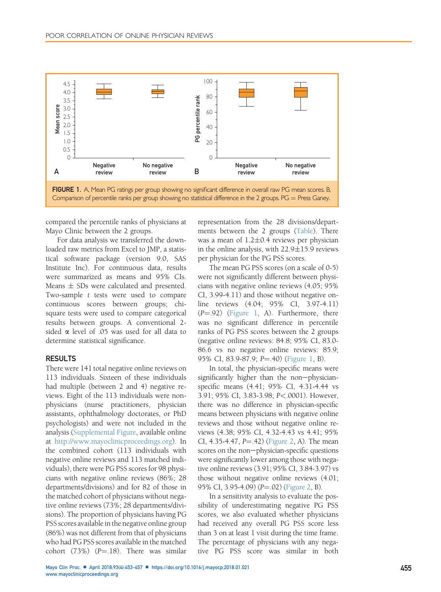

compared the percentile ranks of physicians at Mayo Clinic between the 2 groups.

For data analysis we transferred the downloaded raw metrics from Excel to JMP, a statistical software package (version 9.0, SAS Institute Inc). For continuous data, results were summarized as means and 95% CIs. Means  $\pm$  SDs were calculated and presented. Two-sample t tests were used to compare continuous scores between groups; chisquare tests were used to compare categorical results between groups. A conventional 2 sided  $\alpha$  level of .05 was used for all data to determine statistical significance.

#### RESULTS

There were 141 total negative online reviews on 113 individuals. Sixteen of these individuals had multiple (between 2 and 4) negative reviews. Eight of the 113 individuals were nonphysicians (nurse practitioners, physician assistants, ophthalmology doctorates, or PhD psychologists) and were not included in the analysis (Supplemental Figure, available online at [http://www.mayoclinicproceedings.org\)](http://www.mayoclinicproceedings.org). In the combined cohort (113 individuals with negative online reviews and 113 matched individuals), there were PG PSS scores for 98 physicians with negative online reviews (86%; 28 departments/divisions) and for 82 of those in the matched cohort of physicians without negative online reviews (73%; 28 departments/divisions). The proportion of physicians having PG PSS scores available in the negative online group (86%) was not different from that of physicians who had PG PSS scores available in the matched cohort (73%) ( $P = .18$ ). There was similar

representation from the 28 divisions/departments between the 2 groups [\(Table\)](#page-1-0). There was a mean of 1.2-0.4 reviews per physician in the online analysis, with  $22.9 \pm 15.9$  reviews per physician for the PG PSS scores.

The mean PG PSS scores (on a scale of 0-5) were not significantly different between physicians with negative online reviews (4.05; 95% CI, 3.99-4.11) and those without negative online reviews (4.04; 95% CI, 3.97-4.11)  $(P = .92)$  (Figure 1, A). Furthermore, there was no significant difference in percentile ranks of PG PSS scores between the 2 groups (negative online reviews: 84.8; 95% CI, 83.0- 86.6 vs no negative online reviews: 85.9; 95% CI, 83.9-87.9; P=.40) (Figure 1, B).

In total, the physician-specific means were significantly higher than the non-physicianspecific means (4.41; 95% CI, 4.31-4.44 vs 3.91; 95% CI, 3.83-3.98; P<.0001). However, there was no difference in physician-specific means between physicians with negative online reviews and those without negative online reviews (4.38; 95% CI, 4.32-4.43 vs 4.41; 95% CI, 4.35-4.47,  $P = .42$ ) ([Figure 2,](#page-3-0) A). The mean scores on the non-physician-specific questions were significantly lower among those with negative online reviews (3.91; 95% CI, 3.84-3.97) vs those without negative online reviews (4.01; 95% CI, 3.95-4.09)  $(P=.02)$  ([Figure 2,](#page-3-0) B).

In a sensitivity analysis to evaluate the possibility of underestimating negative PG PSS scores, we also evaluated whether physicians had received any overall PG PSS score less than 3 on at least 1 visit during the time frame. The percentage of physicians with any negative PG PSS score was similar in both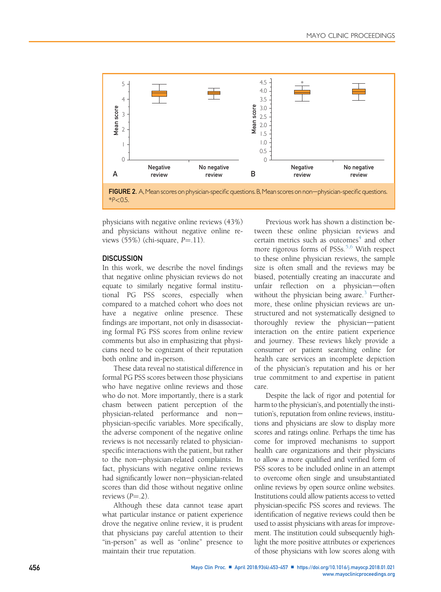<span id="page-3-0"></span>

FIGURE 2. A, Mean scores on physician-specific questions. B, Mean scores on non-physician-specific questions.  $*P < 0.5$ .

physicians with negative online reviews (43%) and physicians without negative online reviews  $(55%)$  (chi-square,  $P=11$ ).

## **DISCUSSION**

In this work, we describe the novel findings that negative online physician reviews do not equate to similarly negative formal institutional PG PSS scores, especially when compared to a matched cohort who does not have a negative online presence. These findings are important, not only in disassociating formal PG PSS scores from online review comments but also in emphasizing that physicians need to be cognizant of their reputation both online and in-person.

These data reveal no statistical difference in formal PG PSS scores between those physicians who have negative online reviews and those who do not. More importantly, there is a stark chasm between patient perception of the physician-related performance and nonphysician-specific variables. More specifically, the adverse component of the negative online reviews is not necessarily related to physicianspecific interactions with the patient, but rather to the non-physician-related complaints. In fact, physicians with negative online reviews had significantly lower non-physician-related scores than did those without negative online reviews  $(P = .2)$ .

Although these data cannot tease apart what particular instance or patient experience drove the negative online review, it is prudent that physicians pay careful attention to their "in-person" as well as "online" presence to maintain their true reputation.

Previous work has shown a distinction between these online physician reviews and certain metrics such as outcomes<sup>[4](#page-4-0)</sup> and other more rigorous forms of  $PSSs$ .<sup>[5,6](#page-4-0)</sup> With respect to these online physician reviews, the sample size is often small and the reviews may be biased, potentially creating an inaccurate and unfair reflection on a physician-often without the physician being aware.<sup>[3](#page-4-0)</sup> Furthermore, these online physician reviews are unstructured and not systematically designed to thoroughly review the physician-patient interaction on the entire patient experience and journey. These reviews likely provide a consumer or patient searching online for health care services an incomplete depiction of the physician's reputation and his or her true commitment to and expertise in patient care.

Despite the lack of rigor and potential for harm to the physician's, and potentially the institution's, reputation from online reviews, institutions and physicians are slow to display more scores and ratings online. Perhaps the time has come for improved mechanisms to support health care organizations and their physicians to allow a more qualified and verified form of PSS scores to be included online in an attempt to overcome often single and unsubstantiated online reviews by open source online websites. Institutions could allow patients access to vetted physician-specific PSS scores and reviews. The identification of negative reviews could then be used to assist physicians with areas for improvement. The institution could subsequently highlight the more positive attributes or experiences of those physicians with low scores along with